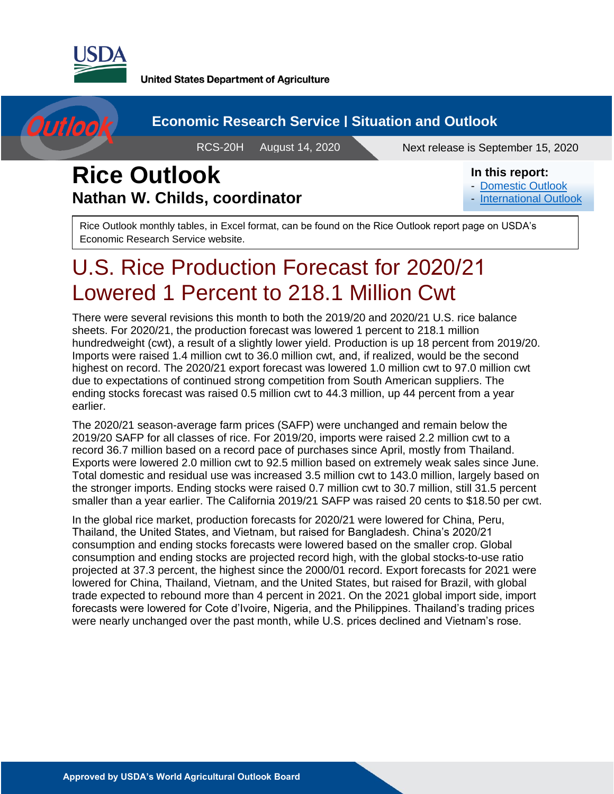

Outloo

**United States Department of Agriculture** 

#### **Economic Research Service | Situation and Outlook**

RCS-20H August 14, 2020 Next release is September 15, 2020

## **Rice Outlook Nathan W. Childs, coordinator**

#### **In this report:**

- [Domestic Outlook](#page-2-0)
- [International Outlook](#page-9-0)

Rice Outlook monthly tables, in Excel format, can be found on the Rice Outlook report page on USDA's Economic Research Service website.

# U.S. Rice Production Forecast for 2020/21 Lowered 1 Percent to 218.1 Million Cwt

There were several revisions this month to both the 2019/20 and 2020/21 U.S. rice balance sheets. For 2020/21, the production forecast was lowered 1 percent to 218.1 million hundredweight (cwt), a result of a slightly lower yield. Production is up 18 percent from 2019/20. Imports were raised 1.4 million cwt to 36.0 million cwt, and, if realized, would be the second highest on record. The 2020/21 export forecast was lowered 1.0 million cwt to 97.0 million cwt due to expectations of continued strong competition from South American suppliers. The ending stocks forecast was raised 0.5 million cwt to 44.3 million, up 44 percent from a year earlier.

The 2020/21 season-average farm prices (SAFP) were unchanged and remain below the 2019/20 SAFP for all classes of rice. For 2019/20, imports were raised 2.2 million cwt to a record 36.7 million based on a record pace of purchases since April, mostly from Thailand. Exports were lowered 2.0 million cwt to 92.5 million based on extremely weak sales since June. Total domestic and residual use was increased 3.5 million cwt to 143.0 million, largely based on the stronger imports. Ending stocks were raised 0.7 million cwt to 30.7 million, still 31.5 percent smaller than a year earlier. The California 2019/21 SAFP was raised 20 cents to \$18.50 per cwt.

In the global rice market, production forecasts for 2020/21 were lowered for China, Peru, Thailand, the United States, and Vietnam, but raised for Bangladesh. China's 2020/21 consumption and ending stocks forecasts were lowered based on the smaller crop. Global consumption and ending stocks are projected record high, with the global stocks-to-use ratio projected at 37.3 percent, the highest since the 2000/01 record. Export forecasts for 2021 were lowered for China, Thailand, Vietnam, and the United States, but raised for Brazil, with global trade expected to rebound more than 4 percent in 2021. On the 2021 global import side, import forecasts were lowered for Cote d'Ivoire, Nigeria, and the Philippines. Thailand's trading prices were nearly unchanged over the past month, while U.S. prices declined and Vietnam's rose.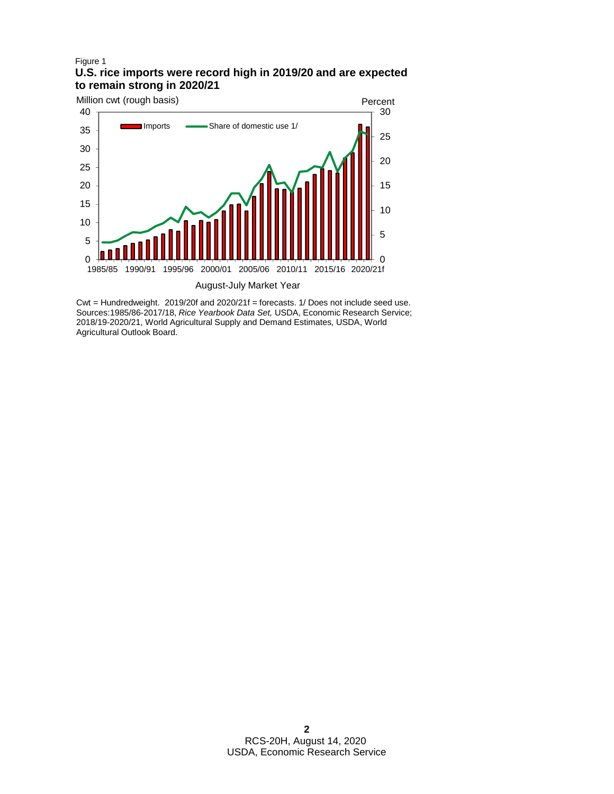#### Figure 1 **U.S. rice imports were record high in 2019/20 and are expected to remain strong in 2020/21**



Cwt = Hundredweight. 2019/20f and 2020/21f = forecasts. 1/ Does not include seed use. Sources:1985/86-2017/18, *Rice Yearbook Data Set,* USDA, Economic Research Service; 2018/19-2020/21, World Agricultural Supply and Demand Estimates*,* USDA, World Agricultural Outlook Board.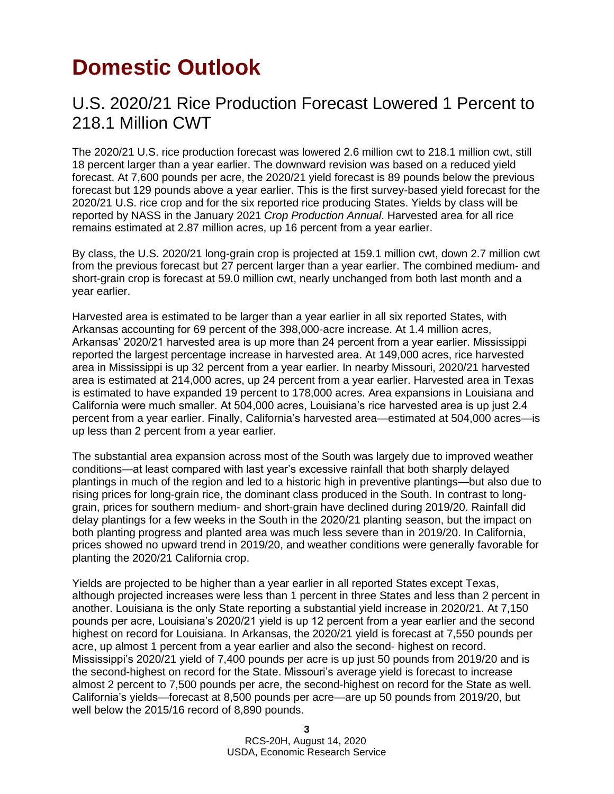# <span id="page-2-0"></span>**Domestic Outlook**

#### U.S. 2020/21 Rice Production Forecast Lowered 1 Percent to 218.1 Million CWT

The 2020/21 U.S. rice production forecast was lowered 2.6 million cwt to 218.1 million cwt, still 18 percent larger than a year earlier. The downward revision was based on a reduced yield forecast. At 7,600 pounds per acre, the 2020/21 yield forecast is 89 pounds below the previous forecast but 129 pounds above a year earlier. This is the first survey-based yield forecast for the 2020/21 U.S. rice crop and for the six reported rice producing States. Yields by class will be reported by NASS in the January 2021 *Crop Production Annual*. Harvested area for all rice remains estimated at 2.87 million acres, up 16 percent from a year earlier.

By class, the U.S. 2020/21 long-grain crop is projected at 159.1 million cwt, down 2.7 million cwt from the previous forecast but 27 percent larger than a year earlier. The combined medium- and short-grain crop is forecast at 59.0 million cwt, nearly unchanged from both last month and a year earlier.

Harvested area is estimated to be larger than a year earlier in all six reported States, with Arkansas accounting for 69 percent of the 398,000-acre increase. At 1.4 million acres, Arkansas' 2020/21 harvested area is up more than 24 percent from a year earlier. Mississippi reported the largest percentage increase in harvested area. At 149,000 acres, rice harvested area in Mississippi is up 32 percent from a year earlier. In nearby Missouri, 2020/21 harvested area is estimated at 214,000 acres, up 24 percent from a year earlier. Harvested area in Texas is estimated to have expanded 19 percent to 178,000 acres. Area expansions in Louisiana and California were much smaller. At 504,000 acres, Louisiana's rice harvested area is up just 2.4 percent from a year earlier. Finally, California's harvested area—estimated at 504,000 acres—is up less than 2 percent from a year earlier.

The substantial area expansion across most of the South was largely due to improved weather conditions—at least compared with last year's excessive rainfall that both sharply delayed plantings in much of the region and led to a historic high in preventive plantings—but also due to rising prices for long-grain rice, the dominant class produced in the South. In contrast to longgrain, prices for southern medium- and short-grain have declined during 2019/20. Rainfall did delay plantings for a few weeks in the South in the 2020/21 planting season, but the impact on both planting progress and planted area was much less severe than in 2019/20. In California, prices showed no upward trend in 2019/20, and weather conditions were generally favorable for planting the 2020/21 California crop.

Yields are projected to be higher than a year earlier in all reported States except Texas, although projected increases were less than 1 percent in three States and less than 2 percent in another. Louisiana is the only State reporting a substantial yield increase in 2020/21. At 7,150 pounds per acre, Louisiana's 2020/21 yield is up 12 percent from a year earlier and the second highest on record for Louisiana. In Arkansas, the 2020/21 yield is forecast at 7,550 pounds per acre, up almost 1 percent from a year earlier and also the second- highest on record. Mississippi's 2020/21 yield of 7,400 pounds per acre is up just 50 pounds from 2019/20 and is the second-highest on record for the State. Missouri's average yield is forecast to increase almost 2 percent to 7,500 pounds per acre, the second-highest on record for the State as well. California's yields—forecast at 8,500 pounds per acre—are up 50 pounds from 2019/20, but well below the 2015/16 record of 8,890 pounds.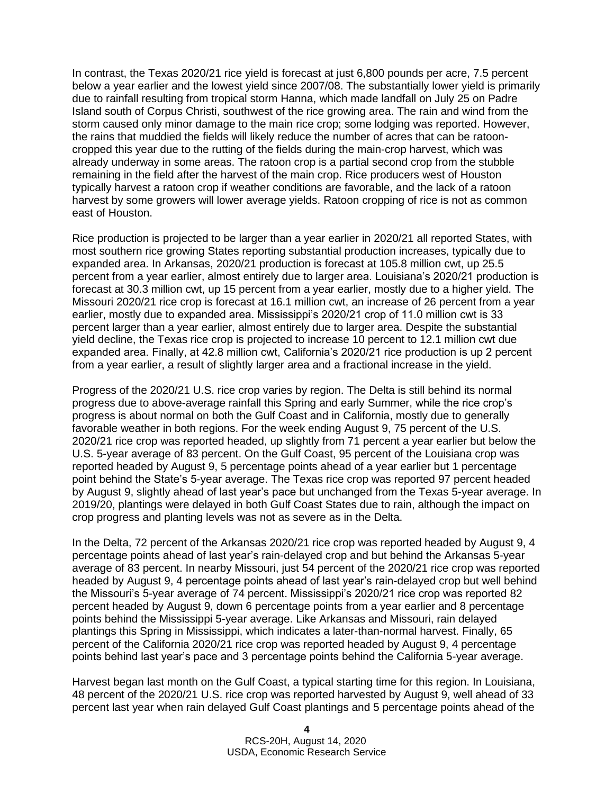In contrast, the Texas 2020/21 rice yield is forecast at just 6,800 pounds per acre, 7.5 percent below a year earlier and the lowest yield since 2007/08. The substantially lower yield is primarily due to rainfall resulting from tropical storm Hanna, which made landfall on July 25 on Padre Island south of Corpus Christi, southwest of the rice growing area. The rain and wind from the storm caused only minor damage to the main rice crop; some lodging was reported. However, the rains that muddied the fields will likely reduce the number of acres that can be ratooncropped this year due to the rutting of the fields during the main-crop harvest, which was already underway in some areas. The ratoon crop is a partial second crop from the stubble remaining in the field after the harvest of the main crop. Rice producers west of Houston typically harvest a ratoon crop if weather conditions are favorable, and the lack of a ratoon harvest by some growers will lower average yields. Ratoon cropping of rice is not as common east of Houston.

Rice production is projected to be larger than a year earlier in 2020/21 all reported States, with most southern rice growing States reporting substantial production increases, typically due to expanded area. In Arkansas, 2020/21 production is forecast at 105.8 million cwt, up 25.5 percent from a year earlier, almost entirely due to larger area. Louisiana's 2020/21 production is forecast at 30.3 million cwt, up 15 percent from a year earlier, mostly due to a higher yield. The Missouri 2020/21 rice crop is forecast at 16.1 million cwt, an increase of 26 percent from a year earlier, mostly due to expanded area. Mississippi's 2020/21 crop of 11.0 million cwt is 33 percent larger than a year earlier, almost entirely due to larger area. Despite the substantial yield decline, the Texas rice crop is projected to increase 10 percent to 12.1 million cwt due expanded area. Finally, at 42.8 million cwt, California's 2020/21 rice production is up 2 percent from a year earlier, a result of slightly larger area and a fractional increase in the yield.

Progress of the 2020/21 U.S. rice crop varies by region. The Delta is still behind its normal progress due to above-average rainfall this Spring and early Summer, while the rice crop's progress is about normal on both the Gulf Coast and in California, mostly due to generally favorable weather in both regions. For the week ending August 9, 75 percent of the U.S. 2020/21 rice crop was reported headed, up slightly from 71 percent a year earlier but below the U.S. 5-year average of 83 percent. On the Gulf Coast, 95 percent of the Louisiana crop was reported headed by August 9, 5 percentage points ahead of a year earlier but 1 percentage point behind the State's 5-year average. The Texas rice crop was reported 97 percent headed by August 9, slightly ahead of last year's pace but unchanged from the Texas 5-year average. In 2019/20, plantings were delayed in both Gulf Coast States due to rain, although the impact on crop progress and planting levels was not as severe as in the Delta.

In the Delta, 72 percent of the Arkansas 2020/21 rice crop was reported headed by August 9, 4 percentage points ahead of last year's rain-delayed crop and but behind the Arkansas 5-year average of 83 percent. In nearby Missouri, just 54 percent of the 2020/21 rice crop was reported headed by August 9, 4 percentage points ahead of last year's rain-delayed crop but well behind the Missouri's 5-year average of 74 percent. Mississippi's 2020/21 rice crop was reported 82 percent headed by August 9, down 6 percentage points from a year earlier and 8 percentage points behind the Mississippi 5-year average. Like Arkansas and Missouri, rain delayed plantings this Spring in Mississippi, which indicates a later-than-normal harvest. Finally, 65 percent of the California 2020/21 rice crop was reported headed by August 9, 4 percentage points behind last year's pace and 3 percentage points behind the California 5-year average.

Harvest began last month on the Gulf Coast, a typical starting time for this region. In Louisiana, 48 percent of the 2020/21 U.S. rice crop was reported harvested by August 9, well ahead of 33 percent last year when rain delayed Gulf Coast plantings and 5 percentage points ahead of the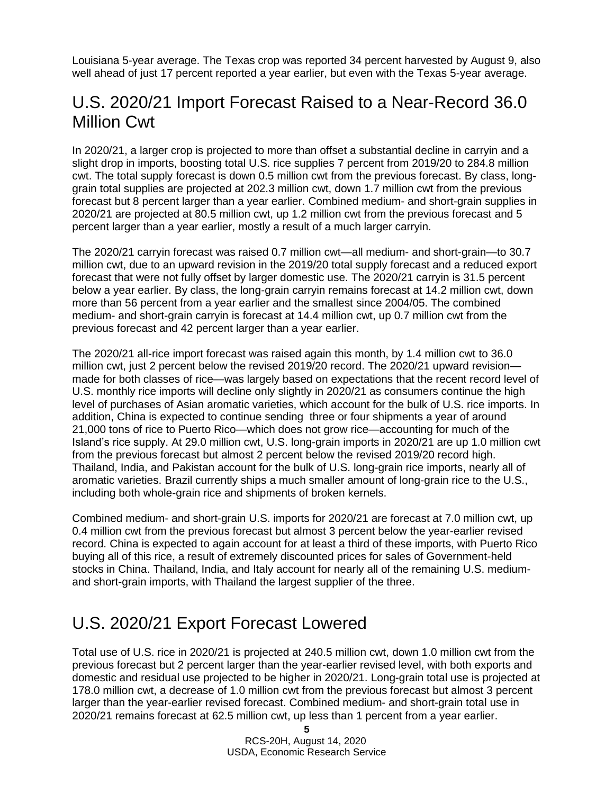Louisiana 5-year average. The Texas crop was reported 34 percent harvested by August 9, also well ahead of just 17 percent reported a year earlier, but even with the Texas 5-year average.

### U.S. 2020/21 Import Forecast Raised to a Near-Record 36.0 Million Cwt

In 2020/21, a larger crop is projected to more than offset a substantial decline in carryin and a slight drop in imports, boosting total U.S. rice supplies 7 percent from 2019/20 to 284.8 million cwt. The total supply forecast is down 0.5 million cwt from the previous forecast. By class, longgrain total supplies are projected at 202.3 million cwt, down 1.7 million cwt from the previous forecast but 8 percent larger than a year earlier. Combined medium- and short-grain supplies in 2020/21 are projected at 80.5 million cwt, up 1.2 million cwt from the previous forecast and 5 percent larger than a year earlier, mostly a result of a much larger carryin.

The 2020/21 carryin forecast was raised 0.7 million cwt—all medium- and short-grain—to 30.7 million cwt, due to an upward revision in the 2019/20 total supply forecast and a reduced export forecast that were not fully offset by larger domestic use. The 2020/21 carryin is 31.5 percent below a year earlier. By class, the long-grain carryin remains forecast at 14.2 million cwt, down more than 56 percent from a year earlier and the smallest since 2004/05. The combined medium- and short-grain carryin is forecast at 14.4 million cwt, up 0.7 million cwt from the previous forecast and 42 percent larger than a year earlier.

The 2020/21 all-rice import forecast was raised again this month, by 1.4 million cwt to 36.0 million cwt, just 2 percent below the revised 2019/20 record. The 2020/21 upward revision made for both classes of rice—was largely based on expectations that the recent record level of U.S. monthly rice imports will decline only slightly in 2020/21 as consumers continue the high level of purchases of Asian aromatic varieties, which account for the bulk of U.S. rice imports. In addition, China is expected to continue sending three or four shipments a year of around 21,000 tons of rice to Puerto Rico—which does not grow rice—accounting for much of the Island's rice supply. At 29.0 million cwt, U.S. long-grain imports in 2020/21 are up 1.0 million cwt from the previous forecast but almost 2 percent below the revised 2019/20 record high. Thailand, India, and Pakistan account for the bulk of U.S. long-grain rice imports, nearly all of aromatic varieties. Brazil currently ships a much smaller amount of long-grain rice to the U.S., including both whole-grain rice and shipments of broken kernels.

Combined medium- and short-grain U.S. imports for 2020/21 are forecast at 7.0 million cwt, up 0.4 million cwt from the previous forecast but almost 3 percent below the year-earlier revised record. China is expected to again account for at least a third of these imports, with Puerto Rico buying all of this rice, a result of extremely discounted prices for sales of Government-held stocks in China. Thailand, India, and Italy account for nearly all of the remaining U.S. mediumand short-grain imports, with Thailand the largest supplier of the three.

### U.S. 2020/21 Export Forecast Lowered

Total use of U.S. rice in 2020/21 is projected at 240.5 million cwt, down 1.0 million cwt from the previous forecast but 2 percent larger than the year-earlier revised level, with both exports and domestic and residual use projected to be higher in 2020/21. Long-grain total use is projected at 178.0 million cwt, a decrease of 1.0 million cwt from the previous forecast but almost 3 percent larger than the year-earlier revised forecast. Combined medium- and short-grain total use in 2020/21 remains forecast at 62.5 million cwt, up less than 1 percent from a year earlier.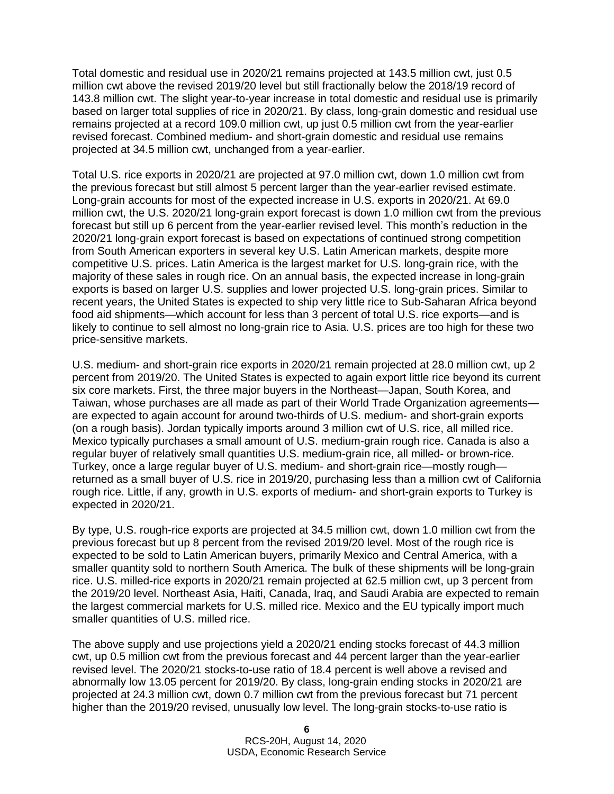Total domestic and residual use in 2020/21 remains projected at 143.5 million cwt, just 0.5 million cwt above the revised 2019/20 level but still fractionally below the 2018/19 record of 143.8 million cwt. The slight year-to-year increase in total domestic and residual use is primarily based on larger total supplies of rice in 2020/21. By class, long-grain domestic and residual use remains projected at a record 109.0 million cwt, up just 0.5 million cwt from the year-earlier revised forecast. Combined medium- and short-grain domestic and residual use remains projected at 34.5 million cwt, unchanged from a year-earlier.

Total U.S. rice exports in 2020/21 are projected at 97.0 million cwt, down 1.0 million cwt from the previous forecast but still almost 5 percent larger than the year-earlier revised estimate. Long-grain accounts for most of the expected increase in U.S. exports in 2020/21. At 69.0 million cwt, the U.S. 2020/21 long-grain export forecast is down 1.0 million cwt from the previous forecast but still up 6 percent from the year-earlier revised level. This month's reduction in the 2020/21 long-grain export forecast is based on expectations of continued strong competition from South American exporters in several key U.S. Latin American markets, despite more competitive U.S. prices. Latin America is the largest market for U.S. long-grain rice, with the majority of these sales in rough rice. On an annual basis, the expected increase in long-grain exports is based on larger U.S. supplies and lower projected U.S. long-grain prices. Similar to recent years, the United States is expected to ship very little rice to Sub-Saharan Africa beyond food aid shipments—which account for less than 3 percent of total U.S. rice exports—and is likely to continue to sell almost no long-grain rice to Asia. U.S. prices are too high for these two price-sensitive markets.

U.S. medium- and short-grain rice exports in 2020/21 remain projected at 28.0 million cwt, up 2 percent from 2019/20. The United States is expected to again export little rice beyond its current six core markets. First, the three major buyers in the Northeast—Japan, South Korea, and Taiwan, whose purchases are all made as part of their World Trade Organization agreements are expected to again account for around two-thirds of U.S. medium- and short-grain exports (on a rough basis). Jordan typically imports around 3 million cwt of U.S. rice, all milled rice. Mexico typically purchases a small amount of U.S. medium-grain rough rice. Canada is also a regular buyer of relatively small quantities U.S. medium-grain rice, all milled- or brown-rice. Turkey, once a large regular buyer of U.S. medium- and short-grain rice—mostly rough returned as a small buyer of U.S. rice in 2019/20, purchasing less than a million cwt of California rough rice. Little, if any, growth in U.S. exports of medium- and short-grain exports to Turkey is expected in 2020/21.

By type, U.S. rough-rice exports are projected at 34.5 million cwt, down 1.0 million cwt from the previous forecast but up 8 percent from the revised 2019/20 level. Most of the rough rice is expected to be sold to Latin American buyers, primarily Mexico and Central America, with a smaller quantity sold to northern South America. The bulk of these shipments will be long-grain rice. U.S. milled-rice exports in 2020/21 remain projected at 62.5 million cwt, up 3 percent from the 2019/20 level. Northeast Asia, Haiti, Canada, Iraq, and Saudi Arabia are expected to remain the largest commercial markets for U.S. milled rice. Mexico and the EU typically import much smaller quantities of U.S. milled rice.

The above supply and use projections yield a 2020/21 ending stocks forecast of 44.3 million cwt, up 0.5 million cwt from the previous forecast and 44 percent larger than the year-earlier revised level. The 2020/21 stocks-to-use ratio of 18.4 percent is well above a revised and abnormally low 13.05 percent for 2019/20. By class, long-grain ending stocks in 2020/21 are projected at 24.3 million cwt, down 0.7 million cwt from the previous forecast but 71 percent higher than the 2019/20 revised, unusually low level. The long-grain stocks-to-use ratio is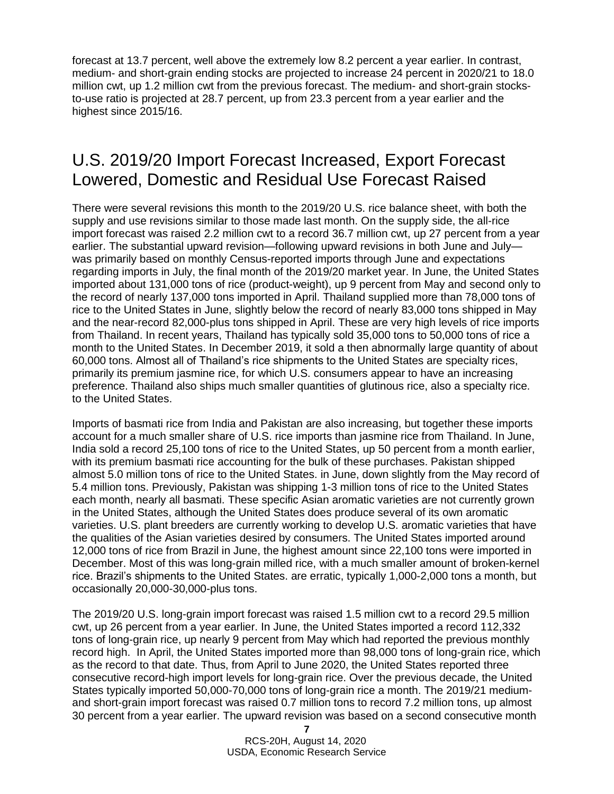forecast at 13.7 percent, well above the extremely low 8.2 percent a year earlier. In contrast, medium- and short-grain ending stocks are projected to increase 24 percent in 2020/21 to 18.0 million cwt, up 1.2 million cwt from the previous forecast. The medium- and short-grain stocksto-use ratio is projected at 28.7 percent, up from 23.3 percent from a year earlier and the highest since 2015/16.

### U.S. 2019/20 Import Forecast Increased, Export Forecast Lowered, Domestic and Residual Use Forecast Raised

There were several revisions this month to the 2019/20 U.S. rice balance sheet, with both the supply and use revisions similar to those made last month. On the supply side, the all-rice import forecast was raised 2.2 million cwt to a record 36.7 million cwt, up 27 percent from a year earlier. The substantial upward revision—following upward revisions in both June and July was primarily based on monthly Census-reported imports through June and expectations regarding imports in July, the final month of the 2019/20 market year. In June, the United States imported about 131,000 tons of rice (product-weight), up 9 percent from May and second only to the record of nearly 137,000 tons imported in April. Thailand supplied more than 78,000 tons of rice to the United States in June, slightly below the record of nearly 83,000 tons shipped in May and the near-record 82,000-plus tons shipped in April. These are very high levels of rice imports from Thailand. In recent years, Thailand has typically sold 35,000 tons to 50,000 tons of rice a month to the United States. In December 2019, it sold a then abnormally large quantity of about 60,000 tons. Almost all of Thailand's rice shipments to the United States are specialty rices, primarily its premium jasmine rice, for which U.S. consumers appear to have an increasing preference. Thailand also ships much smaller quantities of glutinous rice, also a specialty rice. to the United States.

Imports of basmati rice from India and Pakistan are also increasing, but together these imports account for a much smaller share of U.S. rice imports than jasmine rice from Thailand. In June, India sold a record 25,100 tons of rice to the United States, up 50 percent from a month earlier, with its premium basmati rice accounting for the bulk of these purchases. Pakistan shipped almost 5.0 million tons of rice to the United States. in June, down slightly from the May record of 5.4 million tons. Previously, Pakistan was shipping 1-3 million tons of rice to the United States each month, nearly all basmati. These specific Asian aromatic varieties are not currently grown in the United States, although the United States does produce several of its own aromatic varieties. U.S. plant breeders are currently working to develop U.S. aromatic varieties that have the qualities of the Asian varieties desired by consumers. The United States imported around 12,000 tons of rice from Brazil in June, the highest amount since 22,100 tons were imported in December. Most of this was long-grain milled rice, with a much smaller amount of broken-kernel rice. Brazil's shipments to the United States. are erratic, typically 1,000-2,000 tons a month, but occasionally 20,000-30,000-plus tons.

The 2019/20 U.S. long-grain import forecast was raised 1.5 million cwt to a record 29.5 million cwt, up 26 percent from a year earlier. In June, the United States imported a record 112,332 tons of long-grain rice, up nearly 9 percent from May which had reported the previous monthly record high. In April, the United States imported more than 98,000 tons of long-grain rice, which as the record to that date. Thus, from April to June 2020, the United States reported three consecutive record-high import levels for long-grain rice. Over the previous decade, the United States typically imported 50,000-70,000 tons of long-grain rice a month. The 2019/21 mediumand short-grain import forecast was raised 0.7 million tons to record 7.2 million tons, up almost 30 percent from a year earlier. The upward revision was based on a second consecutive month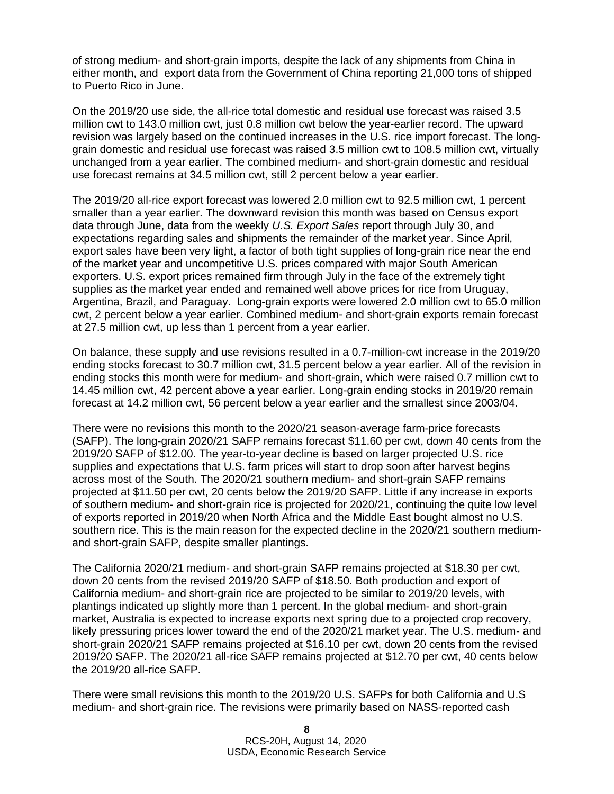of strong medium- and short-grain imports, despite the lack of any shipments from China in either month, and export data from the Government of China reporting 21,000 tons of shipped to Puerto Rico in June.

On the 2019/20 use side, the all-rice total domestic and residual use forecast was raised 3.5 million cwt to 143.0 million cwt, just 0.8 million cwt below the year-earlier record. The upward revision was largely based on the continued increases in the U.S. rice import forecast. The longgrain domestic and residual use forecast was raised 3.5 million cwt to 108.5 million cwt, virtually unchanged from a year earlier. The combined medium- and short-grain domestic and residual use forecast remains at 34.5 million cwt, still 2 percent below a year earlier.

The 2019/20 all-rice export forecast was lowered 2.0 million cwt to 92.5 million cwt, 1 percent smaller than a year earlier. The downward revision this month was based on Census export data through June, data from the weekly *U.S. Export Sales* report through July 30, and expectations regarding sales and shipments the remainder of the market year. Since April, export sales have been very light, a factor of both tight supplies of long-grain rice near the end of the market year and uncompetitive U.S. prices compared with major South American exporters. U.S. export prices remained firm through July in the face of the extremely tight supplies as the market year ended and remained well above prices for rice from Uruguay, Argentina, Brazil, and Paraguay. Long-grain exports were lowered 2.0 million cwt to 65.0 million cwt, 2 percent below a year earlier. Combined medium- and short-grain exports remain forecast at 27.5 million cwt, up less than 1 percent from a year earlier.

On balance, these supply and use revisions resulted in a 0.7-million-cwt increase in the 2019/20 ending stocks forecast to 30.7 million cwt, 31.5 percent below a year earlier. All of the revision in ending stocks this month were for medium- and short-grain, which were raised 0.7 million cwt to 14.45 million cwt, 42 percent above a year earlier. Long-grain ending stocks in 2019/20 remain forecast at 14.2 million cwt, 56 percent below a year earlier and the smallest since 2003/04.

There were no revisions this month to the 2020/21 season-average farm-price forecasts (SAFP). The long-grain 2020/21 SAFP remains forecast \$11.60 per cwt, down 40 cents from the 2019/20 SAFP of \$12.00. The year-to-year decline is based on larger projected U.S. rice supplies and expectations that U.S. farm prices will start to drop soon after harvest begins across most of the South. The 2020/21 southern medium- and short-grain SAFP remains projected at \$11.50 per cwt, 20 cents below the 2019/20 SAFP. Little if any increase in exports of southern medium- and short-grain rice is projected for 2020/21, continuing the quite low level of exports reported in 2019/20 when North Africa and the Middle East bought almost no U.S. southern rice. This is the main reason for the expected decline in the 2020/21 southern mediumand short-grain SAFP, despite smaller plantings.

The California 2020/21 medium- and short-grain SAFP remains projected at \$18.30 per cwt, down 20 cents from the revised 2019/20 SAFP of \$18.50. Both production and export of California medium- and short-grain rice are projected to be similar to 2019/20 levels, with plantings indicated up slightly more than 1 percent. In the global medium- and short-grain market, Australia is expected to increase exports next spring due to a projected crop recovery, likely pressuring prices lower toward the end of the 2020/21 market year. The U.S. medium- and short-grain 2020/21 SAFP remains projected at \$16.10 per cwt, down 20 cents from the revised 2019/20 SAFP. The 2020/21 all-rice SAFP remains projected at \$12.70 per cwt, 40 cents below the 2019/20 all-rice SAFP.

There were small revisions this month to the 2019/20 U.S. SAFPs for both California and U.S medium- and short-grain rice. The revisions were primarily based on NASS-reported cash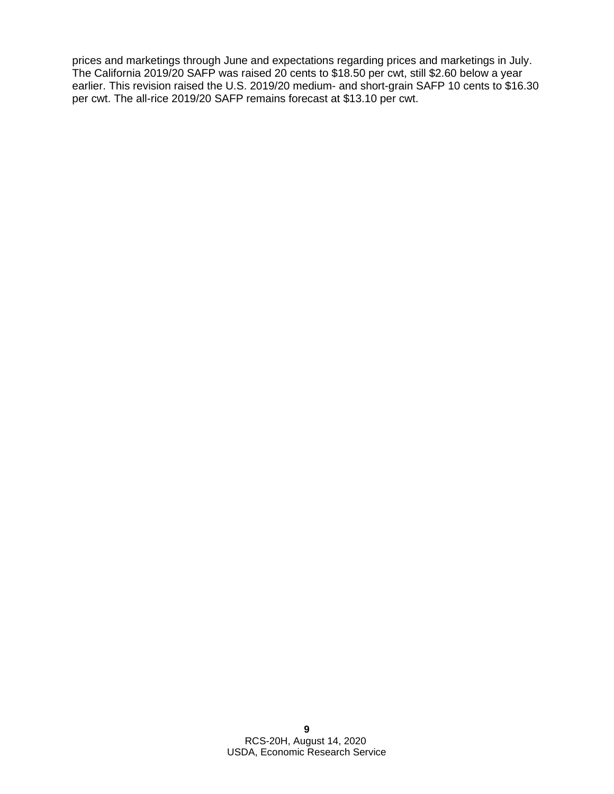prices and marketings through June and expectations regarding prices and marketings in July. The California 2019/20 SAFP was raised 20 cents to \$18.50 per cwt, still \$2.60 below a year earlier. This revision raised the U.S. 2019/20 medium- and short-grain SAFP 10 cents to \$16.30 per cwt. The all-rice 2019/20 SAFP remains forecast at \$13.10 per cwt.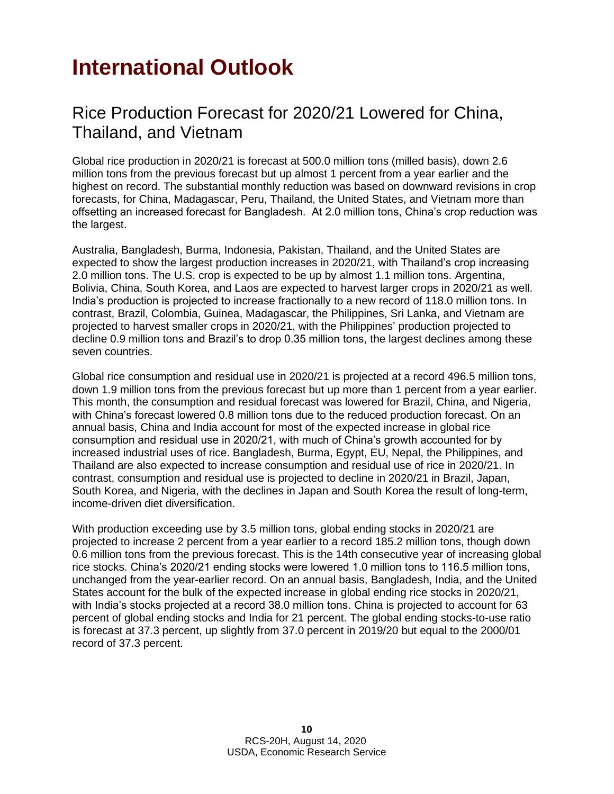## <span id="page-9-0"></span>**International Outlook**

### Rice Production Forecast for 2020/21 Lowered for China, Thailand, and Vietnam

Global rice production in 2020/21 is forecast at 500.0 million tons (milled basis), down 2.6 million tons from the previous forecast but up almost 1 percent from a year earlier and the highest on record. The substantial monthly reduction was based on downward revisions in crop forecasts, for China, Madagascar, Peru, Thailand, the United States, and Vietnam more than offsetting an increased forecast for Bangladesh. At 2.0 million tons, China's crop reduction was the largest.

Australia, Bangladesh, Burma, Indonesia, Pakistan, Thailand, and the United States are expected to show the largest production increases in 2020/21, with Thailand's crop increasing 2.0 million tons. The U.S. crop is expected to be up by almost 1.1 million tons. Argentina, Bolivia, China, South Korea, and Laos are expected to harvest larger crops in 2020/21 as well. India's production is projected to increase fractionally to a new record of 118.0 million tons. In contrast, Brazil, Colombia, Guinea, Madagascar, the Philippines, Sri Lanka, and Vietnam are projected to harvest smaller crops in 2020/21, with the Philippines' production projected to decline 0.9 million tons and Brazil's to drop 0.35 million tons, the largest declines among these seven countries.

Global rice consumption and residual use in 2020/21 is projected at a record 496.5 million tons, down 1.9 million tons from the previous forecast but up more than 1 percent from a year earlier. This month, the consumption and residual forecast was lowered for Brazil, China, and Nigeria, with China's forecast lowered 0.8 million tons due to the reduced production forecast. On an annual basis, China and India account for most of the expected increase in global rice consumption and residual use in 2020/21, with much of China's growth accounted for by increased industrial uses of rice. Bangladesh, Burma, Egypt, EU, Nepal, the Philippines, and Thailand are also expected to increase consumption and residual use of rice in 2020/21. In contrast, consumption and residual use is projected to decline in 2020/21 in Brazil, Japan, South Korea, and Nigeria, with the declines in Japan and South Korea the result of long-term, income-driven diet diversification.

With production exceeding use by 3.5 million tons, global ending stocks in 2020/21 are projected to increase 2 percent from a year earlier to a record 185.2 million tons, though down 0.6 million tons from the previous forecast. This is the 14th consecutive year of increasing global rice stocks. China's 2020/21 ending stocks were lowered 1.0 million tons to 116.5 million tons, unchanged from the year-earlier record. On an annual basis, Bangladesh, India, and the United States account for the bulk of the expected increase in global ending rice stocks in 2020/21, with India's stocks projected at a record 38.0 million tons. China is projected to account for 63 percent of global ending stocks and India for 21 percent. The global ending stocks-to-use ratio is forecast at 37.3 percent, up slightly from 37.0 percent in 2019/20 but equal to the 2000/01 record of 37.3 percent.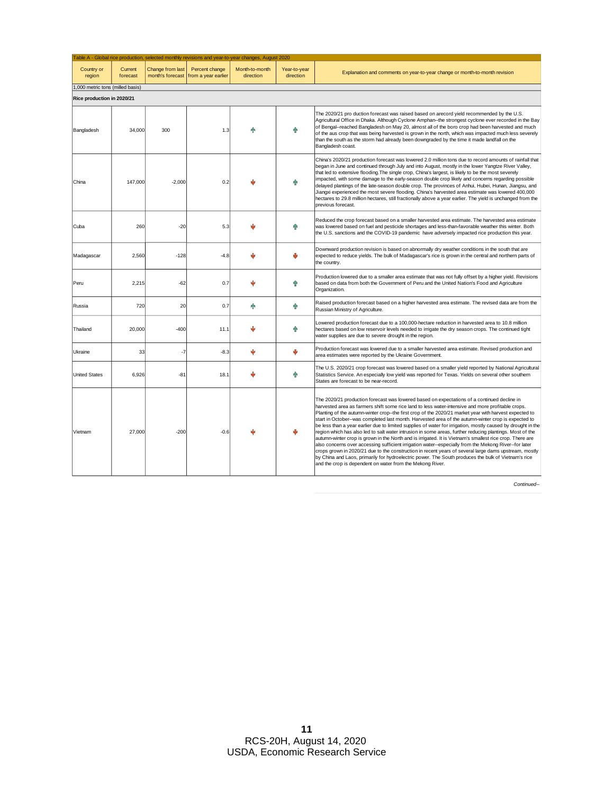|                                  |                     |                                      |                                       | Table A - Global rice production, selected monthly revisions and year-to-year changes, August 2020 |                           |                                                                                                                                                                                                                                                                                                                                                                                                                                                                                                                                                                                                                                                                                                                                                                                                                                                                                                                                                                                                                                                                                                                                                 |
|----------------------------------|---------------------|--------------------------------------|---------------------------------------|----------------------------------------------------------------------------------------------------|---------------------------|-------------------------------------------------------------------------------------------------------------------------------------------------------------------------------------------------------------------------------------------------------------------------------------------------------------------------------------------------------------------------------------------------------------------------------------------------------------------------------------------------------------------------------------------------------------------------------------------------------------------------------------------------------------------------------------------------------------------------------------------------------------------------------------------------------------------------------------------------------------------------------------------------------------------------------------------------------------------------------------------------------------------------------------------------------------------------------------------------------------------------------------------------|
| Country or<br>region             | Current<br>forecast | Change from last<br>month's forecast | Percent change<br>from a year earlier | Month-to-month<br>direction                                                                        | Year-to-year<br>direction | Explanation and comments on year-to-year change or month-to-month revision                                                                                                                                                                                                                                                                                                                                                                                                                                                                                                                                                                                                                                                                                                                                                                                                                                                                                                                                                                                                                                                                      |
| 1,000 metric tons (milled basis) |                     |                                      |                                       |                                                                                                    |                           |                                                                                                                                                                                                                                                                                                                                                                                                                                                                                                                                                                                                                                                                                                                                                                                                                                                                                                                                                                                                                                                                                                                                                 |
| Rice production in 2020/21       |                     |                                      |                                       |                                                                                                    |                           |                                                                                                                                                                                                                                                                                                                                                                                                                                                                                                                                                                                                                                                                                                                                                                                                                                                                                                                                                                                                                                                                                                                                                 |
| Bangladesh                       | 34.000              | 300                                  | 1.3                                   |                                                                                                    | ń.                        | The 2020/21 pro duction forecast was raised based on arecord yield recommended by the U.S.<br>Agricultural Office in Dhaka. Although Cyclone Amphan--the strongest cyclone ever recorded in the Bay<br>of Bengal--reached Bangladesh on May 20, almost all of the boro crop had been harvested and much<br>of the aus crop that was being harvested is grown in the north, which was impacted much less severely<br>than the south as the storm had already been downgraded by the time it made landfall on the<br>Bangladesh coast.                                                                                                                                                                                                                                                                                                                                                                                                                                                                                                                                                                                                            |
| China                            | 147,000             | $-2.000$                             | 0.2                                   |                                                                                                    | ♠                         | China's 2020/21 production forecast was lowered 2.0 million tons due to record amounts of rainfall that<br>began in June and continued through July and into August, mostly in the lower Yangtze River Valley,<br>that led to extensive flooding. The single crop, China's largest, is likely to be the most severely<br>impacted, with some damage to the early-season double crop likely and concerns regarding possible<br>delayed plantings of the late-season double crop. The provinces of Anhui, Hubei, Hunan, Jiangsu, and<br>Jiangxi experienced the most severe flooding. China's harvested area estimate was lowered 400,000<br>hectares to 29.8 million hectares, still fractionally above a year earlier. The yield is unchanged from the<br>previous forecast.                                                                                                                                                                                                                                                                                                                                                                    |
| Cuba                             | 260                 | $-20$                                | 5.3                                   |                                                                                                    | ♠                         | Reduced the crop forecast based on a smaller harvested area estimate. The harvested area estimate<br>was lowered based on fuel and pesticide shortages and less-than-favorable weather this winter. Both<br>the U.S. sanctions and the COVID-19 pandemic have adversely impacted rice production this year.                                                                                                                                                                                                                                                                                                                                                                                                                                                                                                                                                                                                                                                                                                                                                                                                                                     |
| Madagascar                       | 2,560               | $-128$                               | $-4.8$                                |                                                                                                    | رال                       | Downward production revision is based on abnormally dry weather conditions in the south that are<br>expected to reduce yields. The bulk of Madagascar's rice is grown in the central and northern parts of<br>the country.                                                                                                                                                                                                                                                                                                                                                                                                                                                                                                                                                                                                                                                                                                                                                                                                                                                                                                                      |
| Peru                             | 2,215               | $-62$                                | 0.7                                   |                                                                                                    | ଳ                         | Production lowered due to a smaller area estimate that was not fully offset by a higher yield. Revisions<br>based on data from both the Government of Peru and the United Nation's Food and Agriculture<br>Organization.                                                                                                                                                                                                                                                                                                                                                                                                                                                                                                                                                                                                                                                                                                                                                                                                                                                                                                                        |
| Russia                           | 720                 | 20                                   | 0.7                                   | ń.                                                                                                 | 牵                         | Raised production forecast based on a higher harvested area estimate. The revised data are from the<br>Russian Ministry of Agriculture.                                                                                                                                                                                                                                                                                                                                                                                                                                                                                                                                                                                                                                                                                                                                                                                                                                                                                                                                                                                                         |
| Thailand                         | 20,000              | $-400$                               | 11.1                                  |                                                                                                    | ♠                         | Lowered production forecast due to a 100,000-hectare reduction in harvested area to 10.8 million<br>hectares based on low reservoir levels needed to irrigate the dry season crops. The continued tight<br>water supplies are due to severe drought in the region.                                                                                                                                                                                                                                                                                                                                                                                                                                                                                                                                                                                                                                                                                                                                                                                                                                                                              |
| Ukraine                          | 33                  | $-7$                                 | $-8.3$                                | رال                                                                                                | ψ                         | Production forecast was lowered due to a smaller harvested area estimate. Revised production and<br>area estimates were reported by the Ukraine Government.                                                                                                                                                                                                                                                                                                                                                                                                                                                                                                                                                                                                                                                                                                                                                                                                                                                                                                                                                                                     |
| <b>United States</b>             | 6,926               | $-81$                                | 18.1                                  | J,                                                                                                 | 牵                         | The U.S. 2020/21 crop forecast was lowered based on a smaller yield reported by National Agricultural<br>Statistics Service. An especially low yield was reported for Texas. Yields on several other southern<br>States are forecast to be near-record.                                                                                                                                                                                                                                                                                                                                                                                                                                                                                                                                                                                                                                                                                                                                                                                                                                                                                         |
| Vietnam                          | 27,000              | $-200$                               | $-0.6$                                |                                                                                                    |                           | The 2020/21 production forecast was lowered based on expectations of a continued decline in<br>harvested area as farmers shift some rice land to less water-intensive and more profitable crops.<br>Planting of the autumn-winter crop--the first crop of the 2020/21 market year with harvest expected to<br>start in October--was completed last month. Harvested area of the autumn-winter crop is expected to<br>be less than a year earlier due to limited supplies of water for irrigation, mostly caused by drought in the<br>region which has also led to salt water intrusion in some areas, further reducing plantings. Most of the<br>autumn-winter crop is grown in the North and is irrigated. It is Vietnam's smallest rice crop. There are<br>also concerns over accessing sufficient irrigation water--especially from the Mekong River--for later<br>crops grown in 2020/21 due to the construction in recent years of several large dams upstream, mostly<br>by China and Laos, primarily for hydroelectric power. The South produces the bulk of Vietnam's rice<br>and the crop is dependent on water from the Mekong River. |

*Continued--*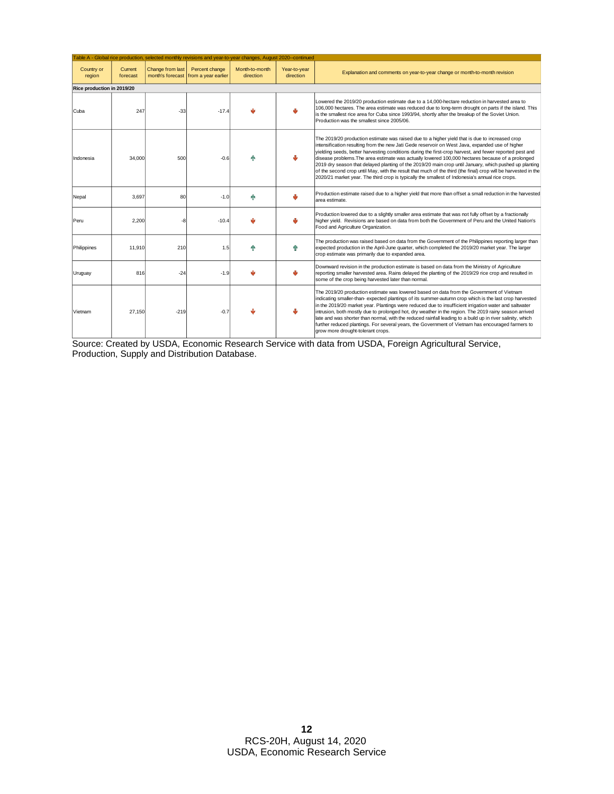|                            |                     |                  |                                                        | Table A - Global rice production, selected monthly revisions and year-to-year changes, August 2020--continued |                           |                                                                                                                                                                                                                                                                                                                                                                                                                                                                                                                                                                                                                                                                                                                                                 |
|----------------------------|---------------------|------------------|--------------------------------------------------------|---------------------------------------------------------------------------------------------------------------|---------------------------|-------------------------------------------------------------------------------------------------------------------------------------------------------------------------------------------------------------------------------------------------------------------------------------------------------------------------------------------------------------------------------------------------------------------------------------------------------------------------------------------------------------------------------------------------------------------------------------------------------------------------------------------------------------------------------------------------------------------------------------------------|
| Country or<br>region       | Current<br>forecast | Change from last | Percent change<br>month's forecast from a year earlier | Month-to-month<br>direction                                                                                   | Year-to-year<br>direction | Explanation and comments on year-to-year change or month-to-month revision                                                                                                                                                                                                                                                                                                                                                                                                                                                                                                                                                                                                                                                                      |
| Rice production in 2019/20 |                     |                  |                                                        |                                                                                                               |                           |                                                                                                                                                                                                                                                                                                                                                                                                                                                                                                                                                                                                                                                                                                                                                 |
| Cuba                       | 247                 | $-33$            | $-17.4$                                                |                                                                                                               |                           | Lowered the 2019/20 production estimate due to a 14,000-hectare reduction in harvested area to<br>106,000 hectares. The area estimate was reduced due to long-term drought on parts if the island. This<br>is the smallest rice area for Cuba since 1993/94, shortly after the breakup of the Soviet Union.<br>Production was the smallest since 2005/06.                                                                                                                                                                                                                                                                                                                                                                                       |
| Indonesia                  | 34,000              | 500              | $-0.6$                                                 |                                                                                                               |                           | The 2019/20 production estimate was raised due to a higher yield that is due to increased crop<br>intensification resulting from the new Jati Gede reservoir on West Java, expanded use of higher<br>yielding seeds, better harvesting conditions during the first-crop harvest, and fewer reported pest and<br>disease problems. The area estimate was actually lowered 100,000 hectares because of a prolonged<br>2019 dry season that delayed planting of the 2019/20 main crop until January, which pushed up planting<br>of the second crop until May, with the result that much of the third (the final) crop will be harvested in the<br>2020/21 market year. The third crop is typically the smallest of Indonesia's annual rice crops. |
| Nepal                      | 3,697               | 80               | $-1.0$                                                 |                                                                                                               | رال                       | Production estimate raised due to a higher yield that more than offset a small reduction in the harvested<br>area estimate.                                                                                                                                                                                                                                                                                                                                                                                                                                                                                                                                                                                                                     |
| Peru                       | 2,200               |                  | $-10.4$                                                |                                                                                                               |                           | Production lowered due to a slightly smaller area estimate that was not fully offset by a fractionally<br>higher yield. Revisions are based on data from both the Government of Peru and the United Nation's<br>Food and Agriculture Organization.                                                                                                                                                                                                                                                                                                                                                                                                                                                                                              |
| Philippines                | 11,910              | 210              | 1.5                                                    |                                                                                                               | ńР                        | The production was raised based on data from the Government of the Philippines reporting larger than<br>expected production in the April-June quarter, which completed the 2019/20 market year. The larger<br>crop estimate was primarily due to expanded area.                                                                                                                                                                                                                                                                                                                                                                                                                                                                                 |
| Uruguay                    | 816                 | $-24$            | $-1.9$                                                 |                                                                                                               | ψ                         | Downward revision in the production estimate is based on data from the Ministry of Agriculture<br>reporting smaller harvested area. Rains delayed the planting of the 2019/29 rice crop and resulted in<br>some of the crop being harvested later than normal.                                                                                                                                                                                                                                                                                                                                                                                                                                                                                  |
| Vietnam                    | 27,150              | $-219$           | $-0.7$                                                 |                                                                                                               |                           | The 2019/20 production estimate was lowered based on data from the Government of Vietnam<br>indicating smaller-than- expected plantings of its summer-autumn crop which is the last crop harvested<br>in the 2019/20 market year. Plantings were reduced due to insufficient irrigation water and saltwater<br>intrusion, both mostly due to prolonged hot, dry weather in the region. The 2019 rainy season arrived<br>late and was shorter than normal, with the reduced rainfall leading to a build up in river salinity, which<br>further reduced plantings. For several years, the Government of Vietnam has encouraged farmers to<br>grow more drought-tolerant crops.                                                                    |

Source: Created by USDA, Economic Research Service with data from USDA, Foreign Agricultural Service, Production, Supply and Distribution Database.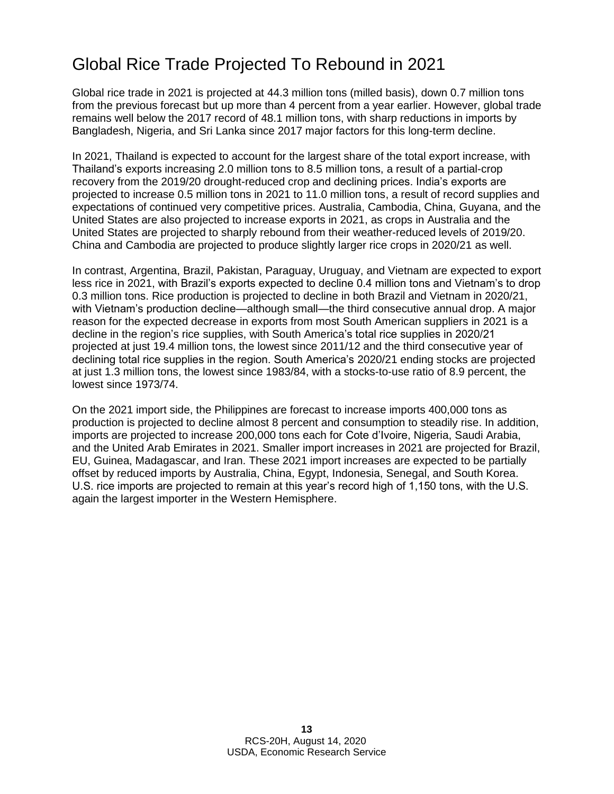### Global Rice Trade Projected To Rebound in 2021

Global rice trade in 2021 is projected at 44.3 million tons (milled basis), down 0.7 million tons from the previous forecast but up more than 4 percent from a year earlier. However, global trade remains well below the 2017 record of 48.1 million tons, with sharp reductions in imports by Bangladesh, Nigeria, and Sri Lanka since 2017 major factors for this long-term decline.

In 2021, Thailand is expected to account for the largest share of the total export increase, with Thailand's exports increasing 2.0 million tons to 8.5 million tons, a result of a partial-crop recovery from the 2019/20 drought-reduced crop and declining prices. India's exports are projected to increase 0.5 million tons in 2021 to 11.0 million tons, a result of record supplies and expectations of continued very competitive prices. Australia, Cambodia, China, Guyana, and the United States are also projected to increase exports in 2021, as crops in Australia and the United States are projected to sharply rebound from their weather-reduced levels of 2019/20. China and Cambodia are projected to produce slightly larger rice crops in 2020/21 as well.

In contrast, Argentina, Brazil, Pakistan, Paraguay, Uruguay, and Vietnam are expected to export less rice in 2021, with Brazil's exports expected to decline 0.4 million tons and Vietnam's to drop 0.3 million tons. Rice production is projected to decline in both Brazil and Vietnam in 2020/21, with Vietnam's production decline—although small—the third consecutive annual drop. A major reason for the expected decrease in exports from most South American suppliers in 2021 is a decline in the region's rice supplies, with South America's total rice supplies in 2020/21 projected at just 19.4 million tons, the lowest since 2011/12 and the third consecutive year of declining total rice supplies in the region. South America's 2020/21 ending stocks are projected at just 1.3 million tons, the lowest since 1983/84, with a stocks-to-use ratio of 8.9 percent, the lowest since 1973/74.

On the 2021 import side, the Philippines are forecast to increase imports 400,000 tons as production is projected to decline almost 8 percent and consumption to steadily rise. In addition, imports are projected to increase 200,000 tons each for Cote d'Ivoire, Nigeria, Saudi Arabia, and the United Arab Emirates in 2021. Smaller import increases in 2021 are projected for Brazil, EU, Guinea, Madagascar, and Iran. These 2021 import increases are expected to be partially offset by reduced imports by Australia, China, Egypt, Indonesia, Senegal, and South Korea. U.S. rice imports are projected to remain at this year's record high of 1,150 tons, with the U.S. again the largest importer in the Western Hemisphere.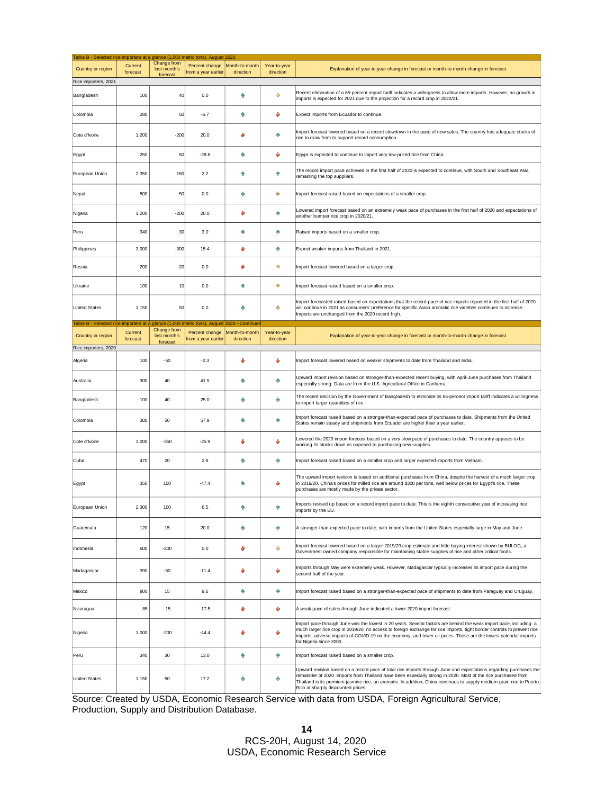| Table B - Selected rice importers at a glance (1,000 metric tons), August 2020<br>Country or region | Current<br>forecast | Change from<br>last month's<br>forecast | Percent change<br>from a year earlier | Month-to-month<br>direction        | Year-to-year<br>direction | Explanation of year-to-year change in forecast or month-to-month change in forecast                                                                                                                                                                                                                                                                                                                |
|-----------------------------------------------------------------------------------------------------|---------------------|-----------------------------------------|---------------------------------------|------------------------------------|---------------------------|----------------------------------------------------------------------------------------------------------------------------------------------------------------------------------------------------------------------------------------------------------------------------------------------------------------------------------------------------------------------------------------------------|
| Rice importers, 2021                                                                                |                     |                                         |                                       |                                    |                           |                                                                                                                                                                                                                                                                                                                                                                                                    |
| Bangladesh                                                                                          | 100                 | 40                                      | 0.0                                   | Φ                                  | →                         | Recent elimination of a 65-percent import tariff indicates a willingness to allow more imports. However, no growth in<br>imports is expected for 2021 due to the projection for a record crop in 2020/21.                                                                                                                                                                                          |
| Colombia                                                                                            | 280                 | 50                                      | $-6.7$                                | ٠                                  | Φ                         | Expect imports from Ecuador to continue.                                                                                                                                                                                                                                                                                                                                                           |
| Cote d'Ivoire                                                                                       | 1,200               | $-200$                                  | 20.0                                  | J                                  | 个                         | Import forecast lowered based on a recent slowdown in the pace of new sales. The country has adequate stocks of<br>rice to draw from to support record consumption.                                                                                                                                                                                                                                |
| Egypt                                                                                               | 250                 | 50                                      | $-28.6$                               | ÷                                  | v                         | Egypt is expected to continue to import very low-priced rice from China.                                                                                                                                                                                                                                                                                                                           |
| European Union                                                                                      | 2,350               | 150                                     | 2.2                                   | ٠                                  | 小                         | The record import pace achieved in the first half of 2020 is expected to continue, with South and Southeast Asia<br>remaining the top suppliers.                                                                                                                                                                                                                                                   |
| Nepal                                                                                               | 800                 | 50                                      | 0.0                                   | ۰                                  | →                         | Import forecast raised based on expectations of a smaller crop.                                                                                                                                                                                                                                                                                                                                    |
| Nigeria                                                                                             | 1,200               | $-200$                                  | 20.0                                  | v                                  | 小                         | Lowered import forecast based on an extremely weak pace of purchases in the first half of 2020 and expectations of<br>another bumper rice crop in 2020/21.                                                                                                                                                                                                                                         |
| Peru                                                                                                | 340                 | 30                                      | 3.0                                   | ÷                                  | ٠                         | Raised imports based on a smaller crop.                                                                                                                                                                                                                                                                                                                                                            |
| Philippines                                                                                         | 3,000               | $-300$                                  | 15.4                                  | ♦                                  | 个                         | Expect weaker imports from Thailand in 2021.                                                                                                                                                                                                                                                                                                                                                       |
| Russia                                                                                              | 200                 | $-20$                                   | 0.0                                   | v                                  | ٠                         | Import forecast lowered based on a larger crop.                                                                                                                                                                                                                                                                                                                                                    |
| Ukraine                                                                                             | 100                 | 10                                      | 0.0                                   | 个                                  | ⇛                         | Import forecast raised based on a smaller crop.                                                                                                                                                                                                                                                                                                                                                    |
| <b>United States</b>                                                                                | 1,150               | 50                                      | 0.0                                   | ٠                                  | ٠                         | Import forecasted raised based on expectations that the record pace of rice imports reported in the first half of 2020<br>will continue in 2021 as consumers' preference for specific Asian aromatic rice varieties continues to increase.<br>Imports are unchanged from the 2020 record high.                                                                                                     |
| Table B - Selected rice importers at a glance (1,000 metric tons), August                           | Current             | Change from                             | Percent change                        | 2020.--Continued<br>Month-to-month | Year-to-vear              |                                                                                                                                                                                                                                                                                                                                                                                                    |
| Country or region<br>Rice importers, 2020                                                           | forecast            | last month's<br>forecast                | from a year earlier                   | direction                          | direction                 | Explanation of year-to-year change in forecast or month-to-month change in forecast                                                                                                                                                                                                                                                                                                                |
| Algeria                                                                                             | 100                 | $-50$                                   | $-2.3$                                | v                                  | v                         | Import forecast lowered based on weaker shipments to date from Thailand and India.                                                                                                                                                                                                                                                                                                                 |
| Australia                                                                                           | 300                 | 40                                      | 41.5                                  | ٠                                  | ٠                         | Upward import revision based on stronger-than-expected recent buying, with April-June purchases from Thailand<br>especially strong. Data are from the U.S. Agricultural Office in Canberra.                                                                                                                                                                                                        |
| Bangladesh                                                                                          | 100                 | 40                                      | 25.0                                  | ۰                                  | 小                         | The recent decision by the Government of Bangladesh to eliminate its 65-percent import tariff indicates a willingness<br>to import larger quantities of rice.                                                                                                                                                                                                                                      |
| Colombia                                                                                            | 300                 | 50                                      | 57.9                                  | Φ                                  | 个                         | Import forecast raised based on a stronger-than-expected pace of purchases to date. Shipments from the United<br>States remain steady and shipments from Ecuador are higher than a year earlier.                                                                                                                                                                                                   |
| Cote d'Ivoire                                                                                       | 1,000               | $-350$                                  | $-25.9$                               | ♦                                  | ىل                        | Lowered the 2020 import forecast based on a very slow pace of purchases to date. The country appears to be<br>working its stocks down as opposed to purchasing new supplies.                                                                                                                                                                                                                       |
| Cuba                                                                                                | 470                 | 20                                      | 2.8                                   | ÷                                  | 小                         | Import forecast raised based on a smaller crop and larger expected imports from Vietnam.                                                                                                                                                                                                                                                                                                           |
| Egypt                                                                                               | 350                 | 150                                     | $-47.4$                               | ۰                                  | Φ                         | The upward import revision is based on additional purchases from China, despite the harvest of a much larger crop<br>in 2019/20. China's prices for milled rice are around \$300 per tons, well below prices for Eqypt's rice. These<br>purchases are mostly made by the private sector.                                                                                                           |
| European Union                                                                                      | 2,300               | 100                                     | 6.5                                   | Φ                                  | ٠                         | Imports revised up based on a record import pace to date. This is the eighth consecutive year of increasing rice<br>imports by the EU.                                                                                                                                                                                                                                                             |
| Guatemala                                                                                           | 120                 | 15                                      | 20.0                                  | 个                                  | 小                         | A stronger-than-expected pace to date, with imports from the United States especially large in May and June.                                                                                                                                                                                                                                                                                       |
| Indonesia                                                                                           | 600                 | $-200$                                  | 0.0                                   | Ψ                                  | ⇛                         | Import forecast lowered based on a larger 2019/20 crop estimate and little buying interest shown by BULOG, a<br>Government owned company responsible for maintaining stable supplies of rice and other critical foods.                                                                                                                                                                             |
| Madagascar                                                                                          | 390                 | $-50$                                   | $-11.4$                               | Ψ                                  | ٠                         | Imports through May were extremely weak. However, Madagascar typically increases its import pace during the<br>second half of the year.                                                                                                                                                                                                                                                            |
| Mexico                                                                                              | 800                 | 15                                      | 9.6                                   | ٠                                  | 个                         | Import forecast raised based on a stronger-than-expected pace of shipments to date from Paraguay and Uruguay.                                                                                                                                                                                                                                                                                      |
| Nicaragua                                                                                           | 85                  | $-15$                                   | $-17.5$                               | Ψ                                  | ŵ                         | A weak pace of sales through June indicated a lower 2020 import forecast.                                                                                                                                                                                                                                                                                                                          |
| Nigeria                                                                                             | 1,000               | $-200$                                  | $-44.4$                               | Φ                                  | J                         | Import pace through June was the lowest in 20 years. Several factors are behind the weak import pace, including: a<br>much larger rice crop in 2019/20, no access to foreign exchange for rice imports, tight border controls to prevent rice<br>imports, adverse impacts of COVID-19 on the economy, and lower oil prices. These are the lowest calendar imports<br>for Nigeria since 2000.       |
| Peru                                                                                                | 340                 | 30                                      | 13.0                                  | ٠                                  | 小                         | Import forecast raised based on a smaller crop.                                                                                                                                                                                                                                                                                                                                                    |
| <b>United States</b>                                                                                | 1,150               | 50                                      | 17.2                                  | Φ                                  | ٠                         | Upward revision based on a record pace of total rice imports through June and expectations regarding purchases the<br>remainder of 2020. Imports from Thailand have been especially strong in 2020. Most of the rice purchased from<br>Thailand is its premium jasmine rice, an aromatic. In addition, China continues to supply medium-grain rice to Puerto<br>Rico at sharply discounted prices. |

Source: Created by USDA, Economic Research Service with data from USDA, Foreign Agricultural Service, Production, Supply and Distribution Database.

 RCS-20H, August 14, 2020 USDA, Economic Research Service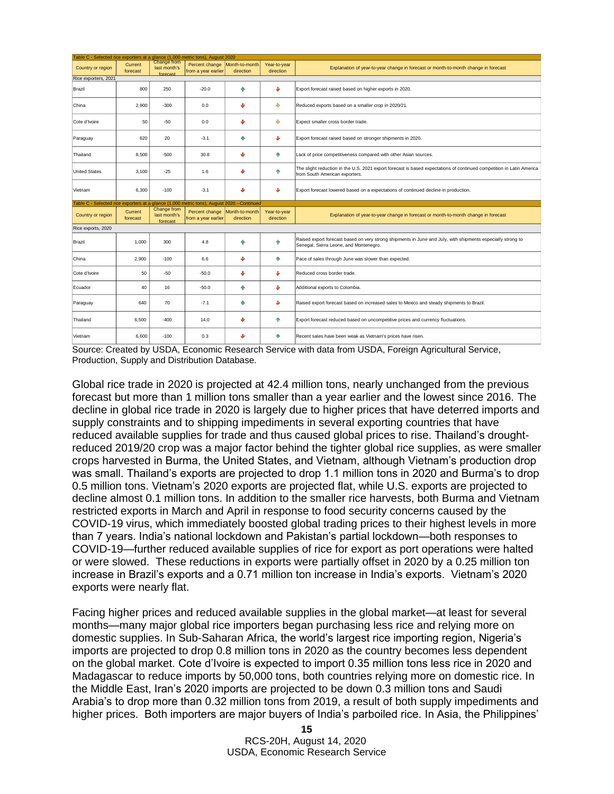|                      |                                                                                            |                                         | Table C - Selected rice exporters at a glance (1,000 metric tons), August 2020 |                             |                           |                                                                                                                                                         |  |  |
|----------------------|--------------------------------------------------------------------------------------------|-----------------------------------------|--------------------------------------------------------------------------------|-----------------------------|---------------------------|---------------------------------------------------------------------------------------------------------------------------------------------------------|--|--|
| Country or region    | Current<br>forecast                                                                        | Change from<br>last month's<br>forecast | Percent change<br>from a year earlier                                          | Month-to-month<br>direction | Year-to-year<br>direction | Explanation of year-to-year change in forecast or month-to-month change in forecast                                                                     |  |  |
| Rice exporters, 2021 |                                                                                            |                                         |                                                                                |                             |                           |                                                                                                                                                         |  |  |
| Brazil               | 800                                                                                        | 250                                     | $-20.0$                                                                        | ۸                           | v                         | Export forecast raised based on higher exports in 2020.                                                                                                 |  |  |
| China                | 2,900                                                                                      | $-300$                                  | 0.0                                                                            | J                           | ♣                         | Reduced exports based on a smaller crop in 2020/21.                                                                                                     |  |  |
| Cote d'Ivoire        | 50                                                                                         | $-50$                                   | 0.0                                                                            | s                           | ÷                         | Expect smaller cross border trade.                                                                                                                      |  |  |
| Paraguay             | 620                                                                                        | 20                                      | $-3.1$                                                                         | ۸'n                         | J                         | Export forecast raised based on stronger shipments in 2020.                                                                                             |  |  |
| Thailand             | 8,500                                                                                      | $-500$                                  | 30.8                                                                           | s                           | ٠                         | Lack of price competitiveness compared with other Asian sources.                                                                                        |  |  |
| <b>United States</b> | 3,100                                                                                      | $-25$                                   | 1.6                                                                            | J                           | 牵                         | The slight reduction in the U.S. 2021 export forecast is based expectations of continued competition in Latin America<br>from South American exporters. |  |  |
| Vietnam              | 6,300                                                                                      | $-100$                                  | $-3.1$                                                                         | J.                          | ŵ                         | Export forecast lowered based on a expectations of continued decline in production.                                                                     |  |  |
|                      | Table C - Selected rice exporters at a glance (1,000 metric tons), August 2020.--Continued |                                         |                                                                                |                             |                           |                                                                                                                                                         |  |  |
|                      |                                                                                            |                                         |                                                                                |                             |                           |                                                                                                                                                         |  |  |
| Country or region    | Current<br>forecast                                                                        | Change from<br>last month's<br>forecast | Percent change Month-to-month<br>from a year earlier                           | direction                   | Year-to-year<br>direction | Explanation of year-to-year change in forecast or month-to-month change in forecast                                                                     |  |  |
| Rice exports, 2020   |                                                                                            |                                         |                                                                                |                             |                           |                                                                                                                                                         |  |  |
| Brazil               | 1.000                                                                                      | 300                                     | 4.8                                                                            | ۸'n                         | 小                         | Raised export forecast based on very strong shipments in June and July, with shipments especially strong to<br>Senegal, Sierra Leone, and Montenegro.   |  |  |
| China                | 2,900                                                                                      | $-100$                                  | 6.6                                                                            | J.                          | 牵                         | Pace of sales through June was slower than expected.                                                                                                    |  |  |
| Cote d'Ivoire        | 50                                                                                         | $-50$                                   | $-50.0$                                                                        | v                           | v                         | Reduced cross border trade.                                                                                                                             |  |  |
| Ecuador              | 40                                                                                         | 16                                      | $-50.0$                                                                        | 小                           | Ψ                         | Additional exports to Colombia.                                                                                                                         |  |  |
| Paraguay             | 640                                                                                        | 70                                      | $-7.1$                                                                         | ÷                           | v                         | Raised export forecast based on increased sales to Mexico and steady shipments to Brazil.                                                               |  |  |
| Thailand             | 6,500                                                                                      | $-400$                                  | 14.0                                                                           | J                           | 牵                         | Export forecast reduced based on uncompetitive prices and currency fluctuations.                                                                        |  |  |

Source: Created by USDA, Economic Research Service with data from USDA, Foreign Agricultural Service, Production, Supply and Distribution Database.

Global rice trade in 2020 is projected at 42.4 million tons, nearly unchanged from the previous forecast but more than 1 million tons smaller than a year earlier and the lowest since 2016. The decline in global rice trade in 2020 is largely due to higher prices that have deterred imports and supply constraints and to shipping impediments in several exporting countries that have reduced available supplies for trade and thus caused global prices to rise. Thailand's droughtreduced 2019/20 crop was a major factor behind the tighter global rice supplies, as were smaller crops harvested in Burma, the United States, and Vietnam, although Vietnam's production drop was small. Thailand's exports are projected to drop 1.1 million tons in 2020 and Burma's to drop 0.5 million tons. Vietnam's 2020 exports are projected flat, while U.S. exports are projected to decline almost 0.1 million tons. In addition to the smaller rice harvests, both Burma and Vietnam restricted exports in March and April in response to food security concerns caused by the COVID-19 virus, which immediately boosted global trading prices to their highest levels in more than 7 years. India's national lockdown and Pakistan's partial lockdown—both responses to COVID-19—further reduced available supplies of rice for export as port operations were halted or were slowed. These reductions in exports were partially offset in 2020 by a 0.25 million ton increase in Brazil's exports and a 0.71 million ton increase in India's exports. Vietnam's 2020 exports were nearly flat.

Facing higher prices and reduced available supplies in the global market—at least for several months—many major global rice importers began purchasing less rice and relying more on domestic supplies. In Sub-Saharan Africa, the world's largest rice importing region, Nigeria's imports are projected to drop 0.8 million tons in 2020 as the country becomes less dependent on the global market. Cote d'Ivoire is expected to import 0.35 million tons less rice in 2020 and Madagascar to reduce imports by 50,000 tons, both countries relying more on domestic rice. In the Middle East, Iran's 2020 imports are projected to be down 0.3 million tons and Saudi Arabia's to drop more than 0.32 million tons from 2019, a result of both supply impediments and higher prices. Both importers are major buyers of India's parboiled rice. In Asia, the Philippines'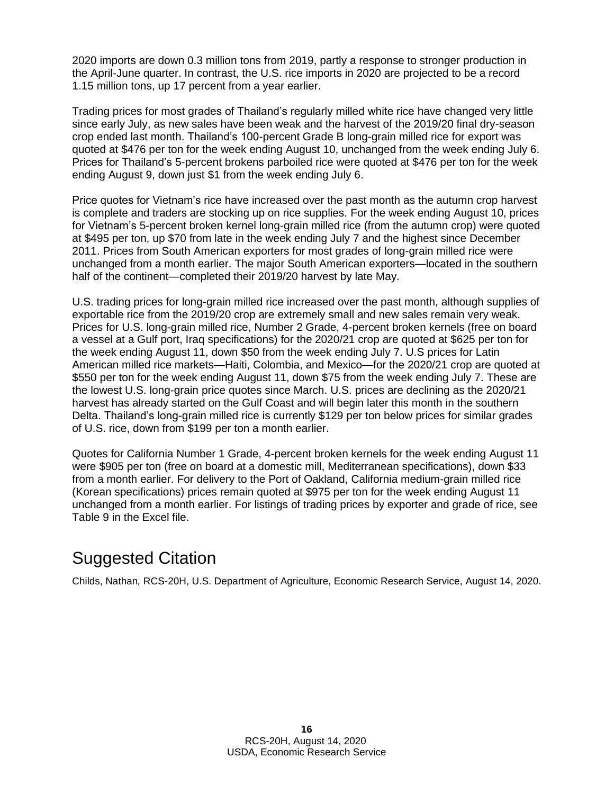2020 imports are down 0.3 million tons from 2019, partly a response to stronger production in the April-June quarter. In contrast, the U.S. rice imports in 2020 are projected to be a record 1.15 million tons, up 17 percent from a year earlier.

Trading prices for most grades of Thailand's regularly milled white rice have changed very little since early July, as new sales have been weak and the harvest of the 2019/20 final dry-season crop ended last month. Thailand's 100-percent Grade B long-grain milled rice for export was quoted at \$476 per ton for the week ending August 10, unchanged from the week ending July 6. Prices for Thailand's 5-percent brokens parboiled rice were quoted at \$476 per ton for the week ending August 9, down just \$1 from the week ending July 6.

Price quotes for Vietnam's rice have increased over the past month as the autumn crop harvest is complete and traders are stocking up on rice supplies. For the week ending August 10, prices for Vietnam's 5-percent broken kernel long-grain milled rice (from the autumn crop) were quoted at \$495 per ton, up \$70 from late in the week ending July 7 and the highest since December 2011. Prices from South American exporters for most grades of long-grain milled rice were unchanged from a month earlier. The major South American exporters—located in the southern half of the continent—completed their 2019/20 harvest by late May.

U.S. trading prices for long-grain milled rice increased over the past month, although supplies of exportable rice from the 2019/20 crop are extremely small and new sales remain very weak. Prices for U.S. long-grain milled rice, Number 2 Grade, 4-percent broken kernels (free on board a vessel at a Gulf port, Iraq specifications) for the 2020/21 crop are quoted at \$625 per ton for the week ending August 11, down \$50 from the week ending July 7. U.S prices for Latin American milled rice markets—Haiti, Colombia, and Mexico—for the 2020/21 crop are quoted at \$550 per ton for the week ending August 11, down \$75 from the week ending July 7. These are the lowest U.S. long-grain price quotes since March. U.S. prices are declining as the 2020/21 harvest has already started on the Gulf Coast and will begin later this month in the southern Delta. Thailand's long-grain milled rice is currently \$129 per ton below prices for similar grades of U.S. rice, down from \$199 per ton a month earlier.

Quotes for California Number 1 Grade, 4-percent broken kernels for the week ending August 11 were \$905 per ton (free on board at a domestic mill, Mediterranean specifications), down \$33 from a month earlier. For delivery to the Port of Oakland, California medium-grain milled rice (Korean specifications) prices remain quoted at \$975 per ton for the week ending August 11 unchanged from a month earlier. For listings of trading prices by exporter and grade of rice, see Table 9 in the Excel file.

### Suggested Citation

Childs, Nathan*,* RCS-20H, U.S. Department of Agriculture, Economic Research Service, August 14, 2020.